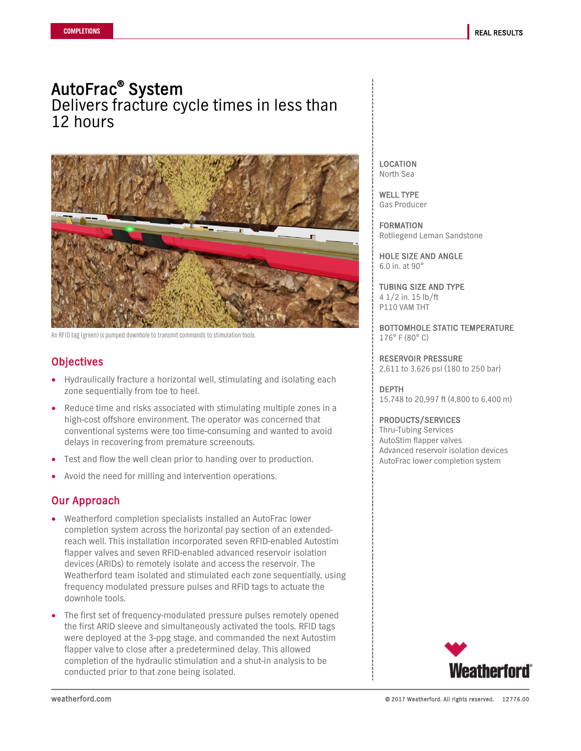AutoFrac<sup>®</sup> System<br>Delivers fracture cycle times in less than 12 hours



An RFID tag (green) is pumped downhole to transmit commands to stimulation tools.

# **Objectives**

- Hydraulically fracture a horizontal well, stimulating and isolating each zone sequentially from toe to heel.
- Reduce time and risks associated with stimulating multiple zones in a high-cost offshore environment. The operator was concerned that conventional systems were too time-consuming and wanted to avoid delays in recovering from premature screenouts.
- Test and flow the well clean prior to handing over to production.
- Avoid the need for milling and intervention operations.

# Our Approach

- Weatherford completion specialists installed an AutoFrac lower completion system across the horizontal pay section of an extendedreach well. This installation incorporated seven RFID-enabled Autostim flapper valves and seven RFID-enabled advanced reservoir isolation devices (ARIDs) to remotely isolate and access the reservoir. The Weatherford team isolated and stimulated each zone sequentially, using frequency modulated pressure pulses and RFID tags to actuate the downhole tools.
- The first set of frequency-modulated pressure pulses remotely opened the first ARID sleeve and simultaneously activated the tools. RFID tags were deployed at the 3-ppg stage, and commanded the next Autostim flapper valve to close after a predetermined delay. This allowed completion of the hydraulic stimulation and a shut-in analysis to be conducted prior to that zone being isolated.

LOCATION North Sea

WELL TYPE Gas Producer

FORMATION Rotliegend Leman Sandstone

HOLE SIZE AND ANGLE 6.0 in. at 90°

TUBING SIZE AND TYPE 4 1/2 in. 15 lb/ft P110 VAM THT

BOTTOMHOLE STATIC TEMPERATURE 176° F (80° C)

RESERVOIR PRESSURE 2,611 to 3,626 psi (180 to 250 bar)

DEPTH 15,748 to 20,997 ft (4,800 to 6,400 m)

### PRODUCTS/SERVICES

Thru-Tubing Services AutoStim flapper valves Advanced reservoir isolation devices AutoFrac lower completion system